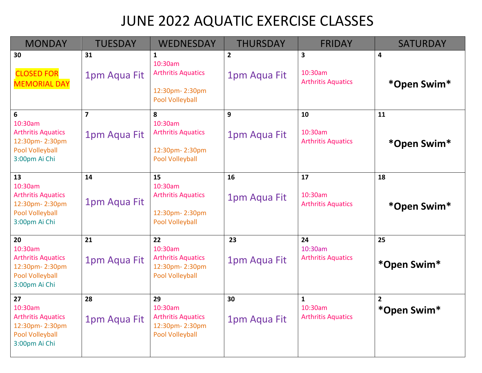# JUNE 2022 AQUATIC EXERCISE CLASSES

| <b>MONDAY</b>                                                                                    | <b>TUESDAY</b>                 | <b>WEDNESDAY</b>                                                                       | <b>THURSDAY</b>                | <b>FRIDAY</b>                                        | <b>SATURDAY</b>               |
|--------------------------------------------------------------------------------------------------|--------------------------------|----------------------------------------------------------------------------------------|--------------------------------|------------------------------------------------------|-------------------------------|
| 30<br><b>CLOSED FOR</b><br><b>MEMORIAL DAY</b>                                                   | 31<br>1pm Aqua Fit             | 1<br>10:30am<br><b>Arthritis Aquatics</b><br>12:30pm-2:30pm<br><b>Pool Volleyball</b>  | $\overline{2}$<br>1pm Aqua Fit | $\mathbf{3}$<br>10:30am<br><b>Arthritis Aquatics</b> | 4<br>*Open Swim*              |
| 6<br>10:30am<br><b>Arthritis Aquatics</b><br>12:30pm-2:30pm<br>Pool Volleyball<br>3:00pm Ai Chi  | $\overline{7}$<br>1pm Aqua Fit | 8<br>10:30am<br><b>Arthritis Aquatics</b><br>12:30pm-2:30pm<br>Pool Volleyball         | 9<br>1pm Aqua Fit              | 10<br>10:30am<br><b>Arthritis Aquatics</b>           | 11<br>*Open Swim*             |
| 13<br>10:30am<br><b>Arthritis Aquatics</b><br>12:30pm-2:30pm<br>Pool Volleyball<br>3:00pm Ai Chi | 14<br>1pm Aqua Fit             | 15<br>10:30am<br><b>Arthritis Aquatics</b><br>12:30pm-2:30pm<br><b>Pool Volleyball</b> | 16<br>1pm Aqua Fit             | 17<br>10:30am<br><b>Arthritis Aquatics</b>           | 18<br>*Open Swim*             |
| 20<br>10:30am<br><b>Arthritis Aquatics</b><br>12:30pm-2:30pm<br>Pool Volleyball<br>3:00pm Ai Chi | 21<br>1pm Aqua Fit             | 22<br>10:30am<br><b>Arthritis Aquatics</b><br>12:30pm-2:30pm<br><b>Pool Volleyball</b> | 23<br>1pm Aqua Fit             | 24<br>10:30am<br><b>Arthritis Aquatics</b>           | 25<br>*Open Swim*             |
| 27<br>10:30am<br><b>Arthritis Aquatics</b><br>12:30pm-2:30pm<br>Pool Volleyball<br>3:00pm Ai Chi | 28<br>1pm Aqua Fit             | 29<br>10:30am<br><b>Arthritis Aquatics</b><br>12:30pm-2:30pm<br><b>Pool Volleyball</b> | 30<br>1pm Aqua Fit             | $\mathbf{1}$<br>10:30am<br><b>Arthritis Aquatics</b> | $\overline{2}$<br>*Open Swim* |